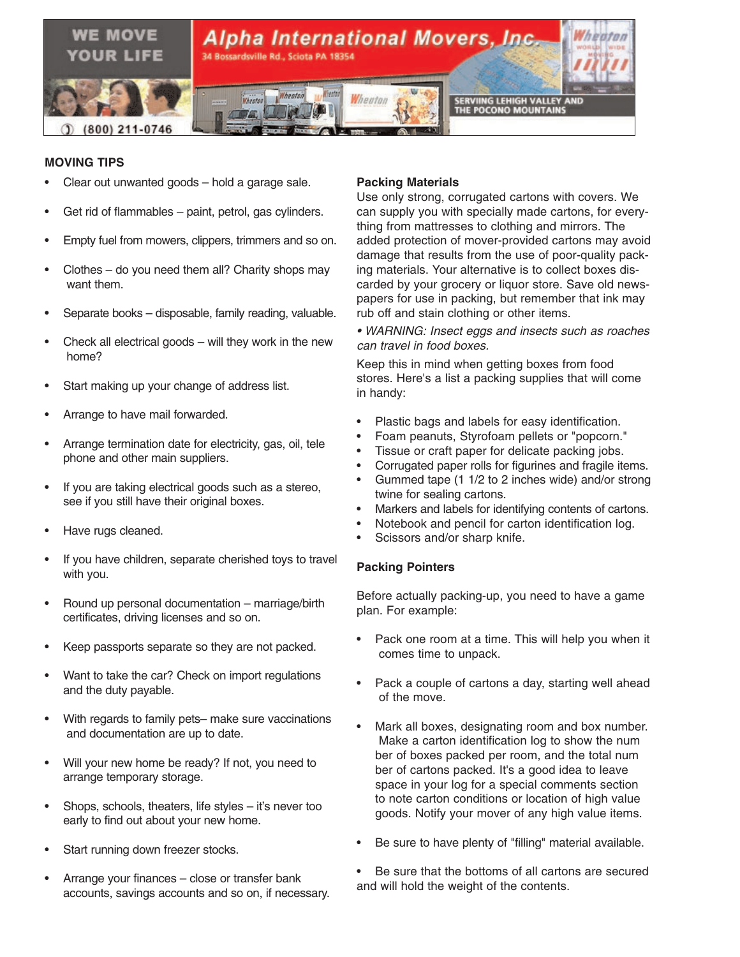

# **MOVING TIPS**

- Clear out unwanted goods hold a garage sale.
- Get rid of flammables paint, petrol, gas cylinders.
- Empty fuel from mowers, clippers, trimmers and so on.
- Clothes  $-$  do you need them all? Charity shops may want them.
- Separate books disposable, family reading, valuable.
- Check all electrical goods will they work in the new home?
- Start making up your change of address list.
- Arrange to have mail forwarded.
- Arrange termination date for electricity, gas, oil, tele phone and other main suppliers.
- If you are taking electrical goods such as a stereo, see if you still have their original boxes.
- Have rugs cleaned.
- If you have children, separate cherished toys to travel with you.
- Round up personal documentation marriage/birth certificates, driving licenses and so on.
- Keep passports separate so they are not packed.
- Want to take the car? Check on import regulations and the duty payable.
- With regards to family pets– make sure vaccinations and documentation are up to date.
- Will your new home be ready? If not, you need to arrange temporary storage.
- Shops, schools, theaters, life styles it's never too early to find out about your new home.
- Start running down freezer stocks.
- Arrange your finances close or transfer bank accounts, savings accounts and so on, if necessary.

### **Packing Materials**

Use only strong, corrugated cartons with covers. We can supply you with specially made cartons, for everything from mattresses to clothing and mirrors. The added protection of mover-provided cartons may avoid damage that results from the use of poor-quality packing materials. Your alternative is to collect boxes discarded by your grocery or liquor store. Save old newspapers for use in packing, but remember that ink may rub off and stain clothing or other items.

*• WARNING: Insect eggs and insects such as roaches can travel in food boxes.* 

Keep this in mind when getting boxes from food stores. Here's a list a packing supplies that will come in handy:

- Plastic bags and labels for easy identification.
- Foam peanuts, Styrofoam pellets or "popcorn."
- Tissue or craft paper for delicate packing jobs.
- Corrugated paper rolls for figurines and fragile items.
- Gummed tape (1 1/2 to 2 inches wide) and/or strong twine for sealing cartons.
- Markers and labels for identifying contents of cartons.
- Notebook and pencil for carton identification log.
- Scissors and/or sharp knife.

# **Packing Pointers**

Before actually packing-up, you need to have a game plan. For example:

- Pack one room at a time. This will help you when it comes time to unpack.
- Pack a couple of cartons a day, starting well ahead of the move.
- Mark all boxes, designating room and box number. Make a carton identification log to show the num ber of boxes packed per room, and the total num ber of cartons packed. It's a good idea to leave space in your log for a special comments section to note carton conditions or location of high value goods. Notify your mover of any high value items.
- Be sure to have plenty of "filling" material available.

Be sure that the bottoms of all cartons are secured and will hold the weight of the contents.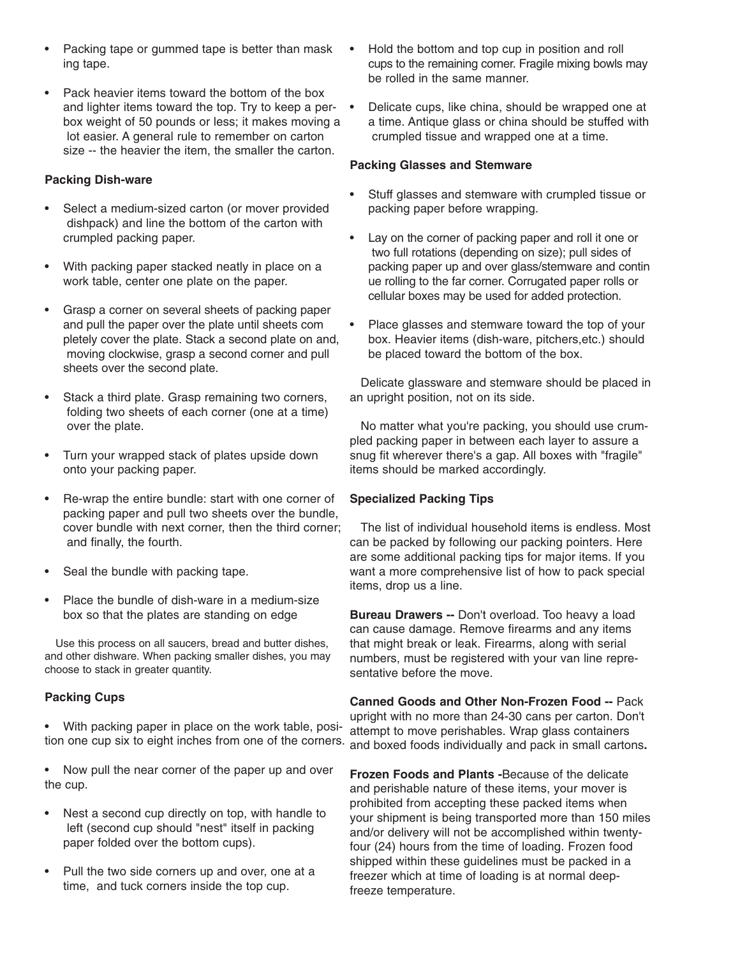- Packing tape or gummed tape is better than mask ing tape.
- Pack heavier items toward the bottom of the box and lighter items toward the top. Try to keep a perbox weight of 50 pounds or less; it makes moving a lot easier. A general rule to remember on carton size -- the heavier the item, the smaller the carton.

## **Packing Dish-ware**

- Select a medium-sized carton (or mover provided dishpack) and line the bottom of the carton with crumpled packing paper.
- With packing paper stacked neatly in place on a work table, center one plate on the paper.
- Grasp a corner on several sheets of packing paper and pull the paper over the plate until sheets com pletely cover the plate. Stack a second plate on and, moving clockwise, grasp a second corner and pull sheets over the second plate.
- Stack a third plate. Grasp remaining two corners, folding two sheets of each corner (one at a time) over the plate.
- Turn your wrapped stack of plates upside down onto your packing paper.
- Re-wrap the entire bundle: start with one corner of packing paper and pull two sheets over the bundle, cover bundle with next corner, then the third corner; and finally, the fourth.
- Seal the bundle with packing tape.
- Place the bundle of dish-ware in a medium-size box so that the plates are standing on edge

Use this process on all saucers, bread and butter dishes, and other dishware. When packing smaller dishes, you may choose to stack in greater quantity.

# **Packing Cups**

- With packing paper in place on the work table, position one cup six to eight inches from one of the corners.
- Now pull the near corner of the paper up and over the cup.
- Nest a second cup directly on top, with handle to left (second cup should "nest" itself in packing paper folded over the bottom cups).
- Pull the two side corners up and over, one at a time, and tuck corners inside the top cup.
- Hold the bottom and top cup in position and roll cups to the remaining corner. Fragile mixing bowls may be rolled in the same manner.
- Delicate cups, like china, should be wrapped one at a time. Antique glass or china should be stuffed with crumpled tissue and wrapped one at a time.

### **Packing Glasses and Stemware**

- Stuff glasses and stemware with crumpled tissue or packing paper before wrapping.
- Lay on the corner of packing paper and roll it one or two full rotations (depending on size); pull sides of packing paper up and over glass/stemware and contin ue rolling to the far corner. Corrugated paper rolls or cellular boxes may be used for added protection.
- Place glasses and stemware toward the top of your box. Heavier items (dish-ware, pitchers,etc.) should be placed toward the bottom of the box.

Delicate glassware and stemware should be placed in an upright position, not on its side.

No matter what you're packing, you should use crumpled packing paper in between each layer to assure a snug fit wherever there's a gap. All boxes with "fragile" items should be marked accordingly.

# **Specialized Packing Tips**

The list of individual household items is endless. Most can be packed by following our packing pointers. Here are some additional packing tips for major items. If you want a more comprehensive list of how to pack special items, drop us a line.

**Bureau Drawers --** Don't overload. Too heavy a load can cause damage. Remove firearms and any items that might break or leak. Firearms, along with serial numbers, must be registered with your van line representative before the move.

**Canned Goods and Other Non-Frozen Food --** Pack upright with no more than 24-30 cans per carton. Don't attempt to move perishables. Wrap glass containers and boxed foods individually and pack in small cartons**.**

**Frozen Foods and Plants -**Because of the delicate and perishable nature of these items, your mover is prohibited from accepting these packed items when your shipment is being transported more than 150 miles and/or delivery will not be accomplished within twentyfour (24) hours from the time of loading. Frozen food shipped within these guidelines must be packed in a freezer which at time of loading is at normal deepfreeze temperature.